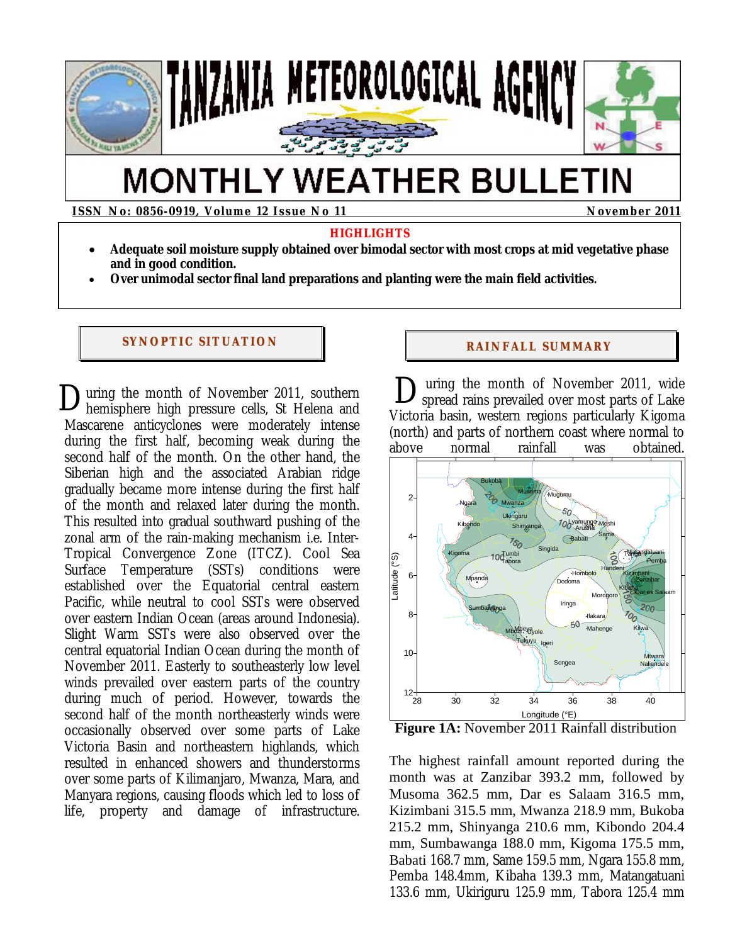

# **MONTHLY WEATHER BULLETIN**

**ISSN No: 0856-0919, Volume 12 Issue No 11 November 2011** 

### **HIGHLIGHTS**

- **Adequate soil moisture supply obtained over bimodal sector with most crops at mid vegetative phase and in good condition.**
- **Over unimodal sector final land preparations and planting were the main field activities.**

# **SYNOPTIC SITUATION RAINFALL SUMMARY**

uring the month of November 2011, southern  $\sum$ uring the month of November 2011, southern  $\sum_{\text{Victor}}$ Mascarene anticyclones were moderately intense during the first half, becoming weak during the second half of the month. On the other hand, the Siberian high and the associated Arabian ridge gradually became more intense during the first half of the month and relaxed later during the month. This resulted into gradual southward pushing of the zonal arm of the rain-making mechanism i.e. Inter-Tropical Convergence Zone (ITCZ). Cool Sea Surface Temperature (SSTs) conditions were established over the Equatorial central eastern Pacific, while neutral to cool SSTs were observed over eastern Indian Ocean (areas around Indonesia). Slight Warm SSTs were also observed over the central equatorial Indian Ocean during the month of November 2011. Easterly to southeasterly low level winds prevailed over eastern parts of the country during much of period. However, towards the second half of the month northeasterly winds were occasionally observed over some parts of Lake Victoria Basin and northeastern highlands, which resulted in enhanced showers and thunderstorms over some parts of Kilimanjaro, Mwanza, Mara, and Manyara regions, causing floods which led to loss of life, property and damage of infrastructure.

 uring the month of November 2011, wide spread rains prevailed over most parts of Lake Victoria basin, western regions particularly Kigoma (north) and parts of northern coast where normal to above normal rainfall was obtained.



**Figure 1A:** November 2011 Rainfall distribution

The highest rainfall amount reported during the month was at Zanzibar 393.2 mm, followed by Musoma 362.5 mm, Dar es Salaam 316.5 mm, Kizimbani 315.5 mm, Mwanza 218.9 mm, Bukoba 215.2 mm, Shinyanga 210.6 mm, Kibondo 204.4 mm, Sumbawanga 188.0 mm, Kigoma 175.5 mm, Babati 168.7 mm, Same 159.5 mm, Ngara 155.8 mm, Pemba 148.4mm, Kibaha 139.3 mm, Matangatuani 133.6 mm, Ukiriguru 125.9 mm, Tabora 125.4 mm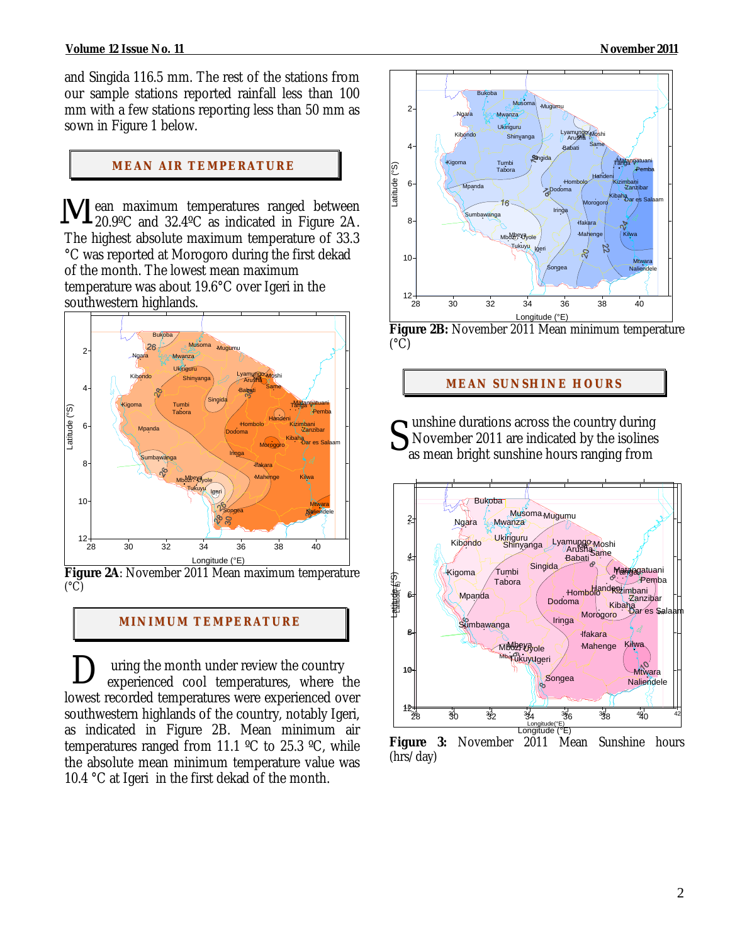#### **Volume 12 Issue No. 11 November 2011**

and Singida 116.5 mm. The rest of the stations from our sample stations reported rainfall less than 100 mm with a few stations reporting less than 50 mm as sown in Figure 1 below.

### **MEAN AIR TEMPERATURE**

ean maximum temperatures ranged between **V** ean maximum temperatures ranged between<br>20.9°C and 32.4°C as indicated in Figure 2A. The highest absolute maximum temperature of 33.3 °C was reported at Morogoro during the first dekad of the month. The lowest mean maximum temperature was about 19.6°C over Igeri in the southwestern highlands.



**Figure 2A**: November 2011 Mean maximum temperature  $(^{\circ}C)$ 

#### **MI NI MUM TEMPERATURE**

 uring the month under review the country experienced cool temperatures, where the lowest recorded temperatures were experienced over southwestern highlands of the country, notably Igeri, as indicated in Figure 2B. Mean minimum air temperatures ranged from 11.1 ºC to 25.3 ºC, while the absolute mean minimum temperature value was 10.4 °C at Igeri in the first dekad of the month.  $\mathbf{D}_{\epsilon}$ 



**Figure 2B:** November 2011 Mean minimum temperature  $(^{\circ}C)$ 

#### **MEAN SUNSHINE HOURS**

**S** Impositions across the country during<br>as mean bright sunshine hours ranging from November 2011 are indicated by the isolines as mean bright sunshine hours ranging from



**Figure 3:** November 2011 Mean Sunshine hours (hrs/day)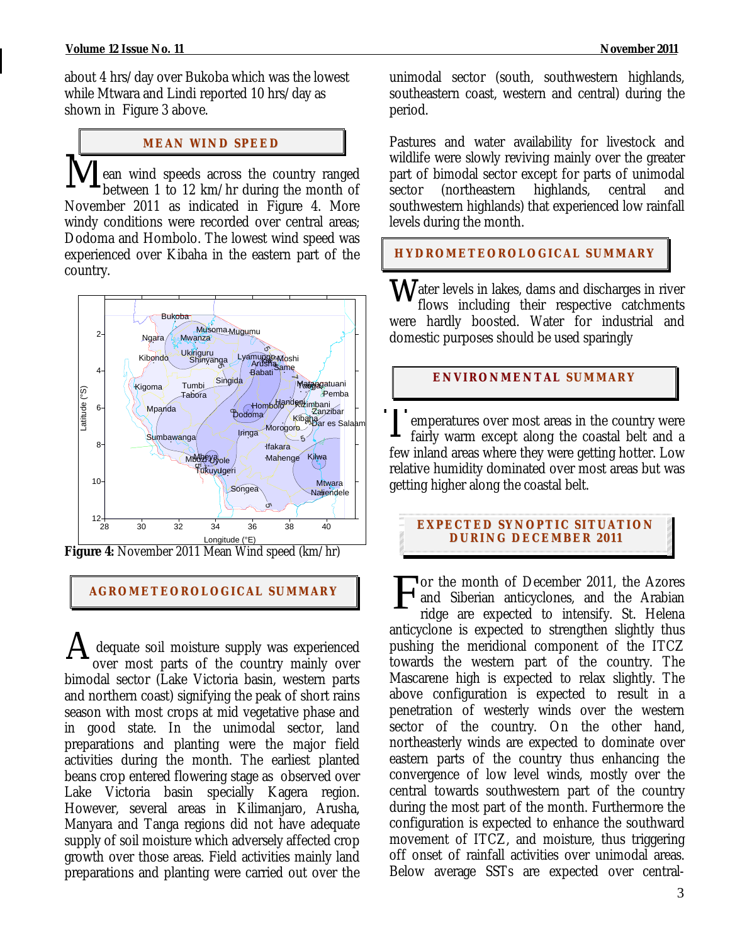about 4 hrs/day over Bukoba which was the lowest while Mtwara and Lindi reported 10 hrs/day as shown in Figure 3 above.

# **MEAN WI ND SPEED**

I ean wind speeds across the country ranged between 1 to 12 km/hr during the month of November 2011 as indicated in Figure 4. More windy conditions were recorded over central areas; Dodoma and Hombolo. The lowest wind speed was experienced over Kibaha in the eastern part of the country.  $\overline{\text{M}}$ 



**Figure 4:** November 2011 Mean Wind speed (km/hr)

٦

# **AGROMETEOROLOGICAL SUMMARY**

 dequate soil moisture supply was experienced over most parts of the country mainly over bimodal sector (Lake Victoria basin, western parts and northern coast) signifying the peak of short rains season with most crops at mid vegetative phase and in good state. In the unimodal sector, land preparations and planting were the major field activities during the month. The earliest planted beans crop entered flowering stage as observed over Lake Victoria basin specially Kagera region. However, several areas in Kilimanjaro, Arusha, Manyara and Tanga regions did not have adequate supply of soil moisture which adversely affected crop growth over those areas. Field activities mainly land preparations and planting were carried out over the A

unimodal sector (south, southwestern highlands, southeastern coast, western and central) during the period.

Pastures and water availability for livestock and wildlife were slowly reviving mainly over the greater part of bimodal sector except for parts of unimodal sector (northeastern highlands, central and southwestern highlands) that experienced low rainfall levels during the month.

**HYDROMETEOROLOGICAL SUMMARY**

ater levels in lakes, dams and discharges in river flows including their respective catchments were hardly boosted. Water for industrial and domestic purposes should be used sparingly w

# **ENVIRONMENTAL SUMMARY**

emperatures over most areas in the country were fairly warm except along the coastal belt and a few inland areas where they were getting hotter. Low relative humidity dominated over most areas but was getting higher along the coastal belt.  $\prod$ 

# **EXPECTED SYNOPTIC SITUATION DURI NG DECEMBER 2011**

or the month of December 2011, the Azores and Siberian anticyclones, and the Arabian ridge are expected to intensify. St. Helena anticyclone is expected to strengthen slightly thus pushing the meridional component of the ITCZ towards the western part of the country. The Mascarene high is expected to relax slightly. The above configuration is expected to result in a penetration of westerly winds over the western sector of the country. On the other hand, northeasterly winds are expected to dominate over eastern parts of the country thus enhancing the convergence of low level winds, mostly over the central towards southwestern part of the country during the most part of the month. Furthermore the configuration is expected to enhance the southward movement of ITCZ, and moisture, thus triggering off onset of rainfall activities over unimodal areas. Below average SSTs are expected over central-F